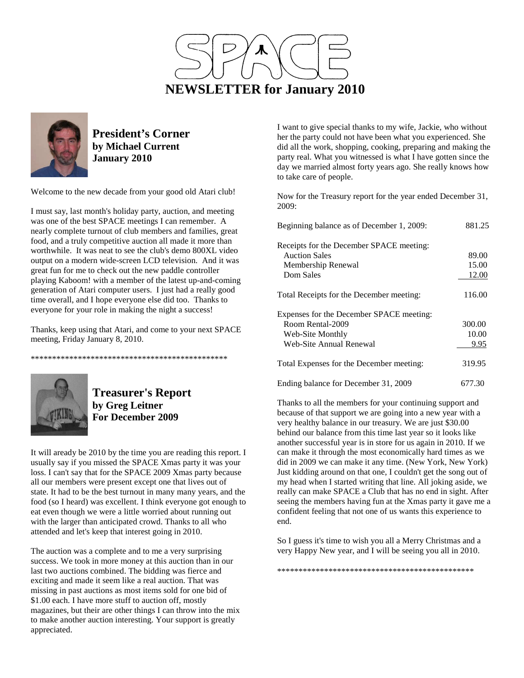



**President's Corner by Michael Current January 2010**

Welcome to the new decade from your good old Atari club!

I must say, last month's holiday party, auction, and meeting was one of the best SPACE meetings I can remember. A nearly complete turnout of club members and families, great food, and a truly competitive auction all made it more than worthwhile. It was neat to see the club's demo 800XL video output on a modern wide-screen LCD television. And it was great fun for me to check out the new paddle controller playing Kaboom! with a member of the latest up-and-coming generation of Atari computer users. I just had a really good time overall, and I hope everyone else did too. Thanks to everyone for your role in making the night a success!

Thanks, keep using that Atari, and come to your next SPACE meeting, Friday January 8, 2010.

\*\*\*\*\*\*\*\*\*\*\*\*\*\*\*\*\*\*\*\*\*\*\*\*\*\*\*\*\*\*\*\*\*\*\*\*\*\*\*\*\*\*\*\*\*\*



**Treasurer's Report by Greg Leitner For December 2009** 

It will aready be 2010 by the time you are reading this report. I usually say if you missed the SPACE Xmas party it was your loss. I can't say that for the SPACE 2009 Xmas party because all our members were present except one that lives out of state. It had to be the best turnout in many many years, and the food (so I heard) was excellent. I think everyone got enough to eat even though we were a little worried about running out with the larger than anticipated crowd. Thanks to all who attended and let's keep that interest going in 2010.

The auction was a complete and to me a very surprising success. We took in more money at this auction than in our last two auctions combined. The bidding was fierce and exciting and made it seem like a real auction. That was missing in past auctions as most items sold for one bid of \$1.00 each. I have more stuff to auction off, mostly magazines, but their are other things I can throw into the mix to make another auction interesting. Your support is greatly appreciated.

I want to give special thanks to my wife, Jackie, who without her the party could not have been what you experienced. She did all the work, shopping, cooking, preparing and making the party real. What you witnessed is what I have gotten since the day we married almost forty years ago. She really knows how to take care of people.

Now for the Treasury report for the year ended December 31, 2009:

| Beginning balance as of December 1, 2009: | 881.25 |
|-------------------------------------------|--------|
| Receipts for the December SPACE meeting:  |        |
| <b>Auction Sales</b>                      | 89.00  |
| Membership Renewal                        | 15.00  |
| Dom Sales                                 | 12.00  |
| Total Receipts for the December meeting:  | 116.00 |
| Expenses for the December SPACE meeting:  |        |
| Room Rental-2009                          | 300.00 |
| Web-Site Monthly                          | 10.00  |
| Web-Site Annual Renewal                   | 9.95   |
| Total Expenses for the December meeting:  | 319.95 |
| Ending balance for December 31, 2009      | 677.30 |

Thanks to all the members for your continuing support and because of that support we are going into a new year with a very healthy balance in our treasury. We are just \$30.00 behind our balance from this time last year so it looks like another successful year is in store for us again in 2010. If we can make it through the most economically hard times as we did in 2009 we can make it any time. (New York, New York) Just kidding around on that one, I couldn't get the song out of my head when I started writing that line. All joking aside, we really can make SPACE a Club that has no end in sight. After seeing the members having fun at the Xmas party it gave me a confident feeling that not one of us wants this experience to end.

So I guess it's time to wish you all a Merry Christmas and a very Happy New year, and I will be seeing you all in 2010.

\*\*\*\*\*\*\*\*\*\*\*\*\*\*\*\*\*\*\*\*\*\*\*\*\*\*\*\*\*\*\*\*\*\*\*\*\*\*\*\*\*\*\*\*\*\*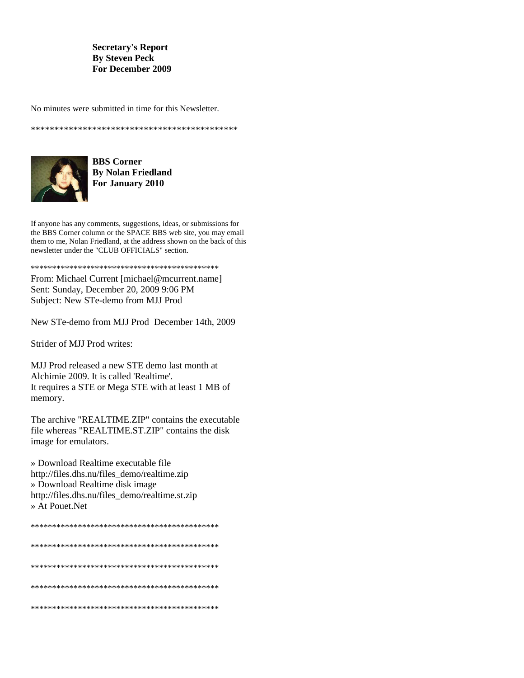#### **Secretary's Report By Steven Peck For December 2009**

No minutes were submitted in time for this Newsletter.



**BBS** Corner **By Nolan Friedland** For January 2010

If anyone has any comments, suggestions, ideas, or submissions for the BBS Corner column or the SPACE BBS web site, you may email them to me, Nolan Friedland, at the address shown on the back of this newsletter under the "CLUB OFFICIALS" section.

From: Michael Current [michael@mcurrent.name] Sent: Sunday, December 20, 2009 9:06 PM Subject: New STe-demo from MJJ Prod

New STe-demo from MJJ Prod December 14th, 2009

Strider of MJJ Prod writes:

MJJ Prod released a new STE demo last month at Alchimie 2009. It is called 'Realtime'. It requires a STE or Mega STE with at least 1 MB of memory.

The archive "REALTIME.ZIP" contains the executable file whereas "REALTIME.ST.ZIP" contains the disk image for emulators.

» Download Realtime executable file http://files.dhs.nu/files\_demo/realtime.zip » Download Realtime disk image http://files.dhs.nu/files\_demo/realtime.st.zip » At Pouet Net